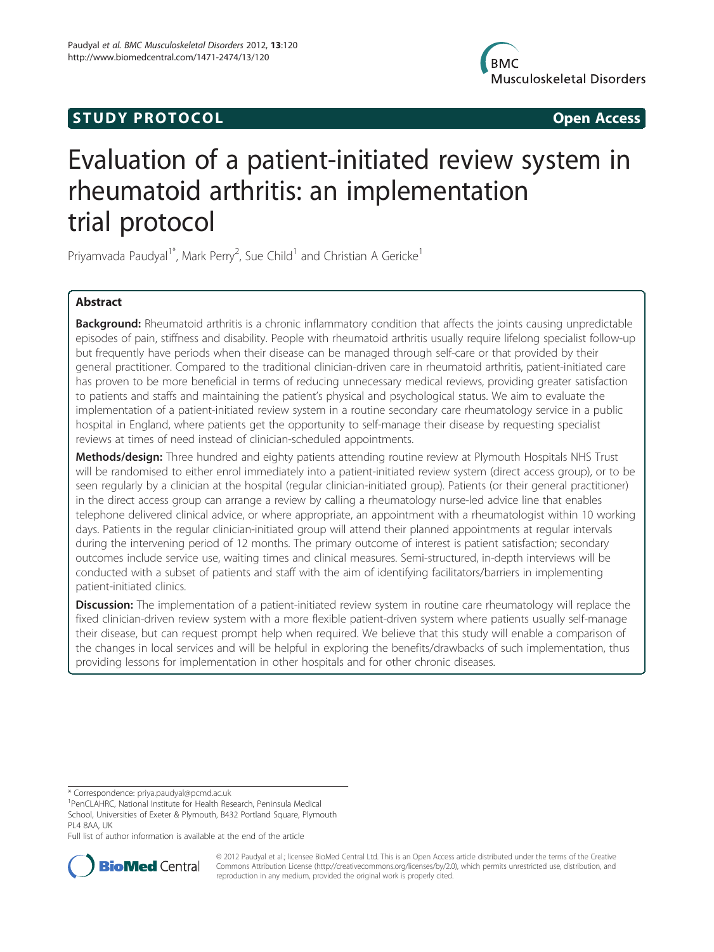# **STUDY PROTOCOL CONSUMING THE STUDY PROTOCOL**



# Evaluation of a patient-initiated review system in rheumatoid arthritis: an implementation trial protocol

Priyamvada Paudyal<sup>1\*</sup>, Mark Perry<sup>2</sup>, Sue Child<sup>1</sup> and Christian A Gericke<sup>1</sup>

# Abstract

Background: Rheumatoid arthritis is a chronic inflammatory condition that affects the joints causing unpredictable episodes of pain, stiffness and disability. People with rheumatoid arthritis usually require lifelong specialist follow-up but frequently have periods when their disease can be managed through self-care or that provided by their general practitioner. Compared to the traditional clinician-driven care in rheumatoid arthritis, patient-initiated care has proven to be more beneficial in terms of reducing unnecessary medical reviews, providing greater satisfaction to patients and staffs and maintaining the patient's physical and psychological status. We aim to evaluate the implementation of a patient-initiated review system in a routine secondary care rheumatology service in a public hospital in England, where patients get the opportunity to self-manage their disease by requesting specialist reviews at times of need instead of clinician-scheduled appointments.

Methods/design: Three hundred and eighty patients attending routine review at Plymouth Hospitals NHS Trust will be randomised to either enrol immediately into a patient-initiated review system (direct access group), or to be seen regularly by a clinician at the hospital (regular clinician-initiated group). Patients (or their general practitioner) in the direct access group can arrange a review by calling a rheumatology nurse-led advice line that enables telephone delivered clinical advice, or where appropriate, an appointment with a rheumatologist within 10 working days. Patients in the regular clinician-initiated group will attend their planned appointments at regular intervals during the intervening period of 12 months. The primary outcome of interest is patient satisfaction; secondary outcomes include service use, waiting times and clinical measures. Semi-structured, in-depth interviews will be conducted with a subset of patients and staff with the aim of identifying facilitators/barriers in implementing patient-initiated clinics.

**Discussion:** The implementation of a patient-initiated review system in routine care rheumatology will replace the fixed clinician-driven review system with a more flexible patient-driven system where patients usually self-manage their disease, but can request prompt help when required. We believe that this study will enable a comparison of the changes in local services and will be helpful in exploring the benefits/drawbacks of such implementation, thus providing lessons for implementation in other hospitals and for other chronic diseases.

\* Correspondence: [priya.paudyal@pcmd.ac.uk](mailto:priya.paudyal@pcmd.ac.uk) <sup>1</sup>

PenCLAHRC, National Institute for Health Research, Peninsula Medical School, Universities of Exeter & Plymouth, B432 Portland Square, Plymouth

PL4 8AA, UK

Full list of author information is available at the end of the article



© 2012 Paudyal et al.; licensee BioMed Central Ltd. This is an Open Access article distributed under the terms of the Creative Commons Attribution License [\(http://creativecommons.org/licenses/by/2.0\)](http://creativecommons.org/licenses/by/2.0), which permits unrestricted use, distribution, and reproduction in any medium, provided the original work is properly cited.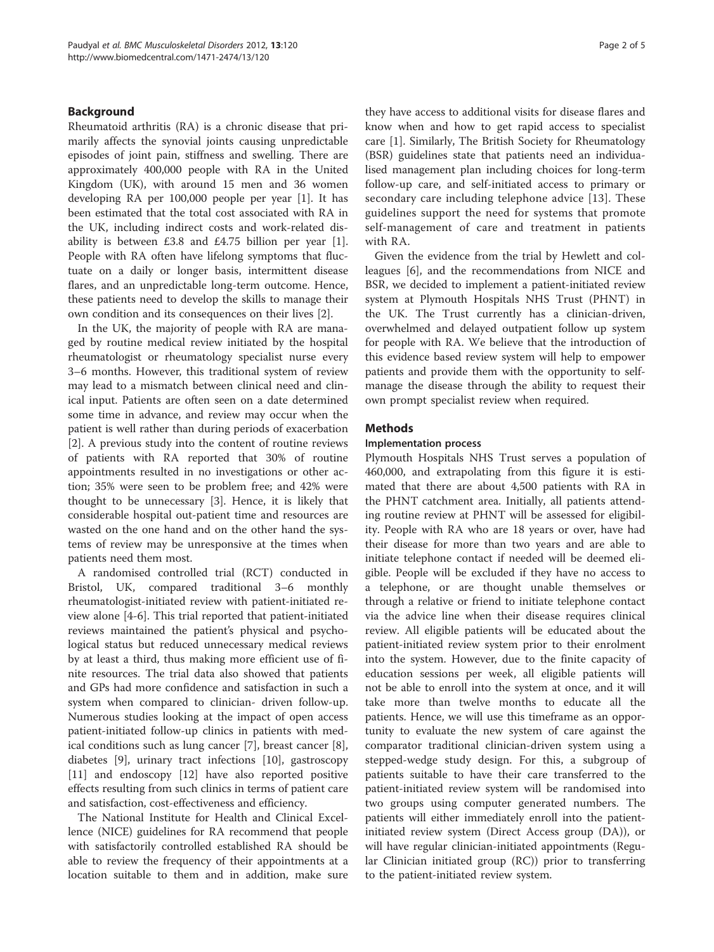# Background

Rheumatoid arthritis (RA) is a chronic disease that primarily affects the synovial joints causing unpredictable episodes of joint pain, stiffness and swelling. There are approximately 400,000 people with RA in the United Kingdom (UK), with around 15 men and 36 women developing RA per 100,000 people per year [\[1](#page-4-0)]. It has been estimated that the total cost associated with RA in the UK, including indirect costs and work-related disability is between £3.8 and £4.75 billion per year [\[1](#page-4-0)]. People with RA often have lifelong symptoms that fluctuate on a daily or longer basis, intermittent disease flares, and an unpredictable long-term outcome. Hence, these patients need to develop the skills to manage their own condition and its consequences on their lives [[2\]](#page-4-0).

In the UK, the majority of people with RA are managed by routine medical review initiated by the hospital rheumatologist or rheumatology specialist nurse every 3–6 months. However, this traditional system of review may lead to a mismatch between clinical need and clinical input. Patients are often seen on a date determined some time in advance, and review may occur when the patient is well rather than during periods of exacerbation [[2\]](#page-4-0). A previous study into the content of routine reviews of patients with RA reported that 30% of routine appointments resulted in no investigations or other action; 35% were seen to be problem free; and 42% were thought to be unnecessary [\[3](#page-4-0)]. Hence, it is likely that considerable hospital out-patient time and resources are wasted on the one hand and on the other hand the systems of review may be unresponsive at the times when patients need them most.

A randomised controlled trial (RCT) conducted in Bristol, UK, compared traditional 3–6 monthly rheumatologist-initiated review with patient-initiated review alone [\[4](#page-4-0)-[6\]](#page-4-0). This trial reported that patient-initiated reviews maintained the patient's physical and psychological status but reduced unnecessary medical reviews by at least a third, thus making more efficient use of finite resources. The trial data also showed that patients and GPs had more confidence and satisfaction in such a system when compared to clinician- driven follow-up. Numerous studies looking at the impact of open access patient-initiated follow-up clinics in patients with medical conditions such as lung cancer [\[7](#page-4-0)], breast cancer [\[8](#page-4-0)], diabetes [\[9](#page-4-0)], urinary tract infections [[10\]](#page-4-0), gastroscopy [[11\]](#page-4-0) and endoscopy [[12](#page-4-0)] have also reported positive effects resulting from such clinics in terms of patient care and satisfaction, cost-effectiveness and efficiency.

The National Institute for Health and Clinical Excellence (NICE) guidelines for RA recommend that people with satisfactorily controlled established RA should be able to review the frequency of their appointments at a location suitable to them and in addition, make sure

they have access to additional visits for disease flares and know when and how to get rapid access to specialist care [\[1](#page-4-0)]. Similarly, The British Society for Rheumatology (BSR) guidelines state that patients need an individualised management plan including choices for long-term follow-up care, and self-initiated access to primary or secondary care including telephone advice [[13](#page-4-0)]. These guidelines support the need for systems that promote self-management of care and treatment in patients with RA.

Given the evidence from the trial by Hewlett and colleagues [[6\]](#page-4-0), and the recommendations from NICE and BSR, we decided to implement a patient-initiated review system at Plymouth Hospitals NHS Trust (PHNT) in the UK. The Trust currently has a clinician-driven, overwhelmed and delayed outpatient follow up system for people with RA. We believe that the introduction of this evidence based review system will help to empower patients and provide them with the opportunity to selfmanage the disease through the ability to request their own prompt specialist review when required.

# Methods

# Implementation process

Plymouth Hospitals NHS Trust serves a population of 460,000, and extrapolating from this figure it is estimated that there are about 4,500 patients with RA in the PHNT catchment area. Initially, all patients attending routine review at PHNT will be assessed for eligibility. People with RA who are 18 years or over, have had their disease for more than two years and are able to initiate telephone contact if needed will be deemed eligible. People will be excluded if they have no access to a telephone, or are thought unable themselves or through a relative or friend to initiate telephone contact via the advice line when their disease requires clinical review. All eligible patients will be educated about the patient-initiated review system prior to their enrolment into the system. However, due to the finite capacity of education sessions per week, all eligible patients will not be able to enroll into the system at once, and it will take more than twelve months to educate all the patients. Hence, we will use this timeframe as an opportunity to evaluate the new system of care against the comparator traditional clinician-driven system using a stepped-wedge study design. For this, a subgroup of patients suitable to have their care transferred to the patient-initiated review system will be randomised into two groups using computer generated numbers. The patients will either immediately enroll into the patientinitiated review system (Direct Access group (DA)), or will have regular clinician-initiated appointments (Regular Clinician initiated group (RC)) prior to transferring to the patient-initiated review system.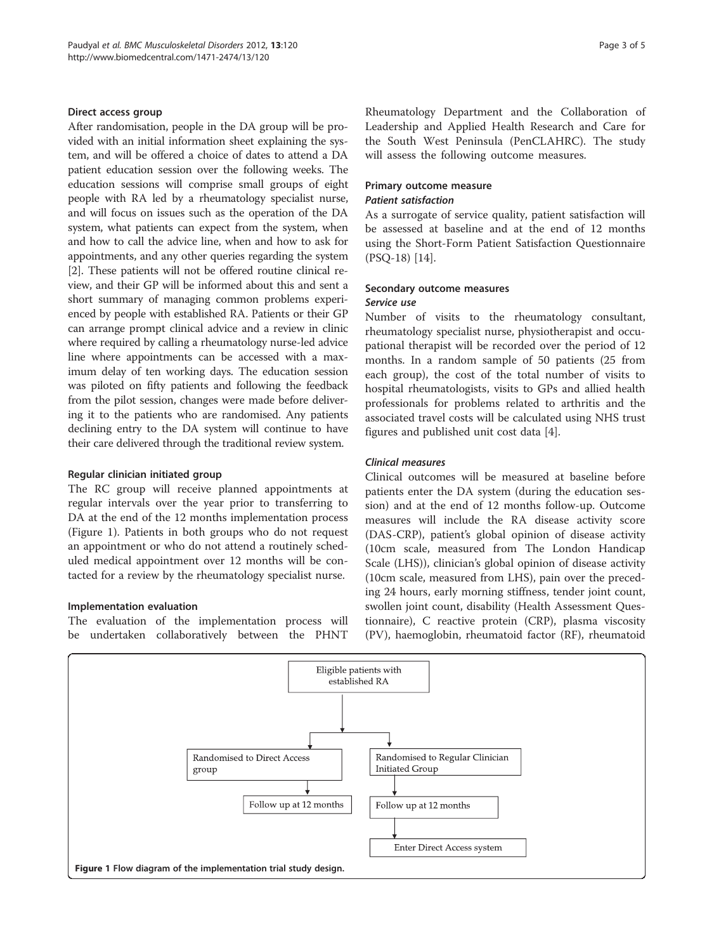# Direct access group

After randomisation, people in the DA group will be provided with an initial information sheet explaining the system, and will be offered a choice of dates to attend a DA patient education session over the following weeks. The education sessions will comprise small groups of eight people with RA led by a rheumatology specialist nurse, and will focus on issues such as the operation of the DA system, what patients can expect from the system, when and how to call the advice line, when and how to ask for appointments, and any other queries regarding the system [[2\]](#page-4-0). These patients will not be offered routine clinical review, and their GP will be informed about this and sent a short summary of managing common problems experienced by people with established RA. Patients or their GP can arrange prompt clinical advice and a review in clinic where required by calling a rheumatology nurse-led advice line where appointments can be accessed with a maximum delay of ten working days. The education session was piloted on fifty patients and following the feedback from the pilot session, changes were made before delivering it to the patients who are randomised. Any patients declining entry to the DA system will continue to have their care delivered through the traditional review system.

### Regular clinician initiated group

The RC group will receive planned appointments at regular intervals over the year prior to transferring to DA at the end of the 12 months implementation process (Figure 1). Patients in both groups who do not request an appointment or who do not attend a routinely scheduled medical appointment over 12 months will be contacted for a review by the rheumatology specialist nurse.

# Implementation evaluation

The evaluation of the implementation process will be undertaken collaboratively between the PHNT

Rheumatology Department and the Collaboration of Leadership and Applied Health Research and Care for the South West Peninsula (PenCLAHRC). The study will assess the following outcome measures.

# Primary outcome measure

# **Patient satisfaction**

As a surrogate of service quality, patient satisfaction will be assessed at baseline and at the end of 12 months using the Short-Form Patient Satisfaction Questionnaire (PSQ-18) [[14\]](#page-4-0).

# Secondary outcome measures Service use

Number of visits to the rheumatology consultant, rheumatology specialist nurse, physiotherapist and occupational therapist will be recorded over the period of 12 months. In a random sample of 50 patients (25 from each group), the cost of the total number of visits to hospital rheumatologists, visits to GPs and allied health professionals for problems related to arthritis and the associated travel costs will be calculated using NHS trust figures and published unit cost data [\[4](#page-4-0)].

Clinical outcomes will be measured at baseline before patients enter the DA system (during the education session) and at the end of 12 months follow-up. Outcome measures will include the RA disease activity score (DAS-CRP), patient's global opinion of disease activity (10cm scale, measured from The London Handicap Scale (LHS)), clinician's global opinion of disease activity (10cm scale, measured from LHS), pain over the preceding 24 hours, early morning stiffness, tender joint count, swollen joint count, disability (Health Assessment Questionnaire), C reactive protein (CRP), plasma viscosity (PV), haemoglobin, rheumatoid factor (RF), rheumatoid

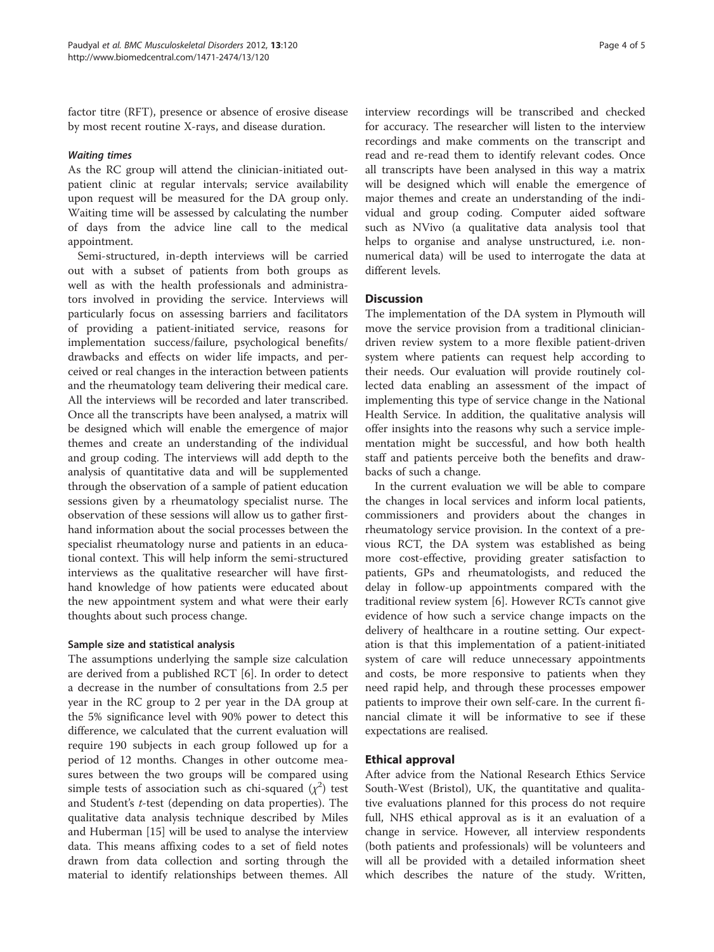factor titre (RFT), presence or absence of erosive disease by most recent routine X-rays, and disease duration.

As the RC group will attend the clinician-initiated outpatient clinic at regular intervals; service availability upon request will be measured for the DA group only. Waiting time will be assessed by calculating the number of days from the advice line call to the medical appointment.

Semi-structured, in-depth interviews will be carried out with a subset of patients from both groups as well as with the health professionals and administrators involved in providing the service. Interviews will particularly focus on assessing barriers and facilitators of providing a patient-initiated service, reasons for implementation success/failure, psychological benefits/ drawbacks and effects on wider life impacts, and perceived or real changes in the interaction between patients and the rheumatology team delivering their medical care. All the interviews will be recorded and later transcribed. Once all the transcripts have been analysed, a matrix will be designed which will enable the emergence of major themes and create an understanding of the individual and group coding. The interviews will add depth to the analysis of quantitative data and will be supplemented through the observation of a sample of patient education sessions given by a rheumatology specialist nurse. The observation of these sessions will allow us to gather firsthand information about the social processes between the specialist rheumatology nurse and patients in an educational context. This will help inform the semi-structured interviews as the qualitative researcher will have firsthand knowledge of how patients were educated about the new appointment system and what were their early thoughts about such process change.

# Sample size and statistical analysis

The assumptions underlying the sample size calculation are derived from a published RCT [\[6\]](#page-4-0). In order to detect a decrease in the number of consultations from 2.5 per year in the RC group to 2 per year in the DA group at the 5% significance level with 90% power to detect this difference, we calculated that the current evaluation will require 190 subjects in each group followed up for a period of 12 months. Changes in other outcome measures between the two groups will be compared using simple tests of association such as chi-squared  $(\chi^2)$  test and Student's t-test (depending on data properties). The qualitative data analysis technique described by Miles and Huberman [\[15\]](#page-4-0) will be used to analyse the interview data. This means affixing codes to a set of field notes drawn from data collection and sorting through the material to identify relationships between themes. All interview recordings will be transcribed and checked for accuracy. The researcher will listen to the interview recordings and make comments on the transcript and read and re-read them to identify relevant codes. Once all transcripts have been analysed in this way a matrix will be designed which will enable the emergence of major themes and create an understanding of the individual and group coding. Computer aided software such as NVivo (a qualitative data analysis tool that helps to organise and analyse unstructured, i.e. nonnumerical data) will be used to interrogate the data at different levels.

# **Discussion**

The implementation of the DA system in Plymouth will move the service provision from a traditional cliniciandriven review system to a more flexible patient-driven system where patients can request help according to their needs. Our evaluation will provide routinely collected data enabling an assessment of the impact of implementing this type of service change in the National Health Service. In addition, the qualitative analysis will offer insights into the reasons why such a service implementation might be successful, and how both health staff and patients perceive both the benefits and drawbacks of such a change.

In the current evaluation we will be able to compare the changes in local services and inform local patients, commissioners and providers about the changes in rheumatology service provision. In the context of a previous RCT, the DA system was established as being more cost-effective, providing greater satisfaction to patients, GPs and rheumatologists, and reduced the delay in follow-up appointments compared with the traditional review system [\[6](#page-4-0)]. However RCTs cannot give evidence of how such a service change impacts on the delivery of healthcare in a routine setting. Our expectation is that this implementation of a patient-initiated system of care will reduce unnecessary appointments and costs, be more responsive to patients when they need rapid help, and through these processes empower patients to improve their own self-care. In the current financial climate it will be informative to see if these expectations are realised.

# Ethical approval

After advice from the National Research Ethics Service South-West (Bristol), UK, the quantitative and qualitative evaluations planned for this process do not require full, NHS ethical approval as is it an evaluation of a change in service. However, all interview respondents (both patients and professionals) will be volunteers and will all be provided with a detailed information sheet which describes the nature of the study. Written,